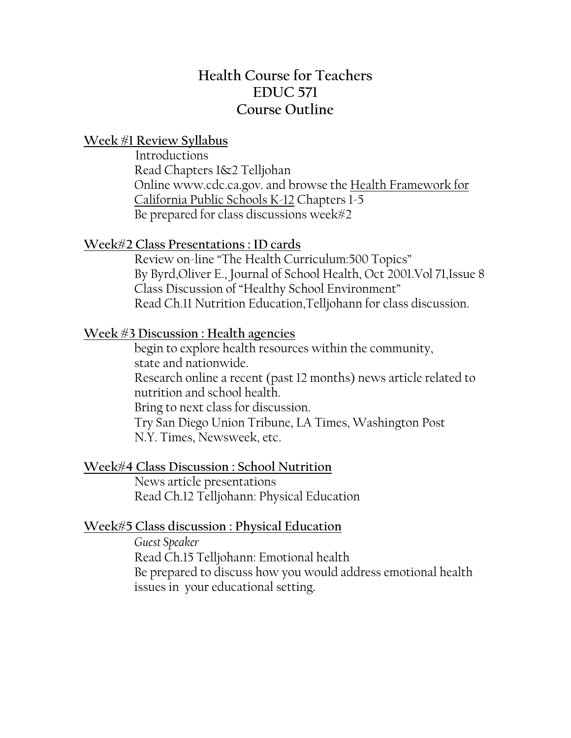# **Health Course for Teachers EDUC 571 Course Outline**

### **Week #1 Review Syllabus**

 Introductions Read Chapters 1&2 Telljohan Online www.cdc.ca.gov. and browse the Health Framework for California Public Schools K-12 Chapters 1-5 Be prepared for class discussions week#2

### **Week#2 Class Presentations : ID cards**

 Review on-line "The Health Curriculum:500 Topics" By Byrd,Oliver E., Journal of School Health, Oct 2001.Vol 71,Issue 8 Class Discussion of "Healthy School Environment" Read Ch.11 Nutrition Education,Telljohann for class discussion.

### **Week #3 Discussion : Health agencies**

 begin to explore health resources within the community, state and nationwide. Research online a recent (past 12 months) news article related to nutrition and school health. Bring to next class for discussion. Try San Diego Union Tribune, LA Times, Washington Post N.Y. Times, Newsweek, etc.

### **Week#4 Class Discussion : School Nutrition**

 News article presentations Read Ch.12 Telljohann: Physical Education

# **Week#5 Class discussion : Physical Education**

 *Guest Speaker* Read Ch.15 Telljohann: Emotional health Be prepared to discuss how you would address emotional health issues in your educational setting.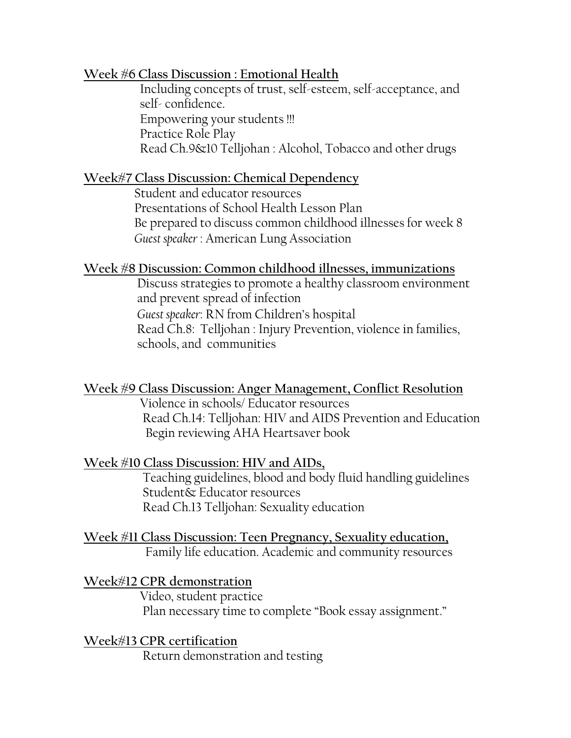### **Week #6 Class Discussion : Emotional Health**

 Including concepts of trust, self-esteem, self-acceptance, and self- confidence. Empowering your students !!! Practice Role Play Read Ch.9&10 Telljohan : Alcohol, Tobacco and other drugs

# **Week#7 Class Discussion: Chemical Dependency**

 Student and educator resources Presentations of School Health Lesson Plan Be prepared to discuss common childhood illnesses for week 8 *Guest speaker* : American Lung Association

### **Week #8 Discussion: Common childhood illnesses, immunizations**

 Discuss strategies to promote a healthy classroom environment and prevent spread of infection *Guest speaker*: RN from Children's hospital Read Ch.8: Telljohan : Injury Prevention, violence in families, schools, and communities

**Week #9 Class Discussion: Anger Management, Conflict Resolution** Violence in schools/ Educator resources

 Read Ch.14: Telljohan: HIV and AIDS Prevention and Education Begin reviewing AHA Heartsaver book

# **Week #10 Class Discussion: HIV and AIDs,**

 Teaching guidelines, blood and body fluid handling guidelines Student& Educator resources Read Ch.13 Telljohan: Sexuality education

### **Week #11 Class Discussion: Teen Pregnancy, Sexuality education,** Family life education. Academic and community resources

# **Week#12 CPR demonstration**

 Video, student practice Plan necessary time to complete "Book essay assignment."

**Week#13 CPR certification** Return demonstration and testing